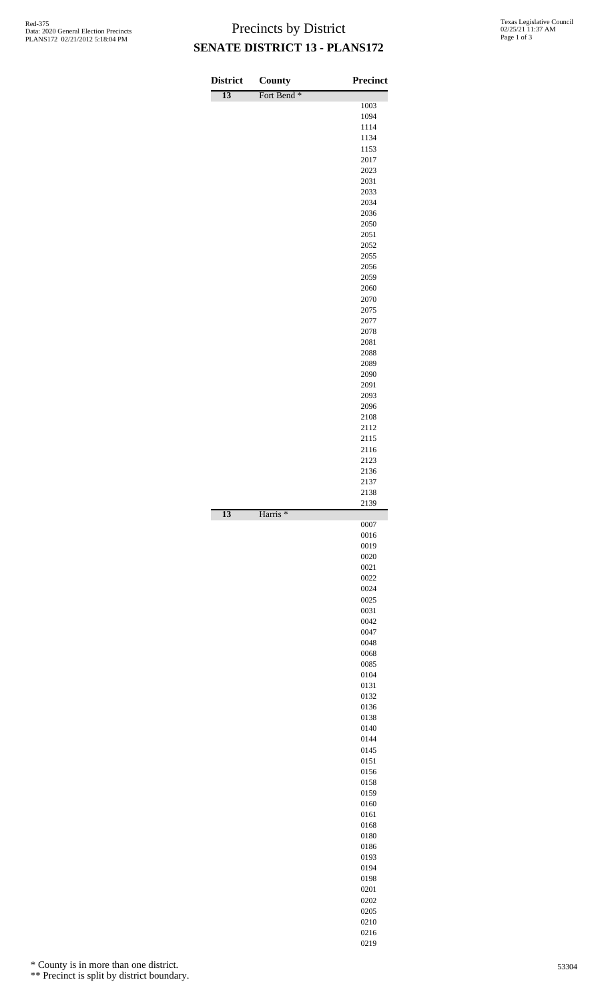## Precincts by District **SENATE DISTRICT 13 - PLANS172**

| <b>District</b> | County                 | <b>Precinct</b> |
|-----------------|------------------------|-----------------|
| $\overline{13}$ | Fort Bend <sup>*</sup> |                 |
|                 |                        | 1003<br>1094    |
|                 |                        | 1114            |
|                 |                        | 1134            |
|                 |                        | 1153<br>2017    |
|                 |                        | 2023            |
|                 |                        | 2031            |
|                 |                        | 2033<br>2034    |
|                 |                        | 2036            |
|                 |                        | 2050            |
|                 |                        | 2051<br>2052    |
|                 |                        | 2055            |
|                 |                        | 2056            |
|                 |                        | 2059            |
|                 |                        | 2060<br>2070    |
|                 |                        | 2075            |
|                 |                        | 2077            |
|                 |                        | 2078<br>2081    |
|                 |                        | 2088            |
|                 |                        | 2089            |
|                 |                        | 2090<br>2091    |
|                 |                        | 2093            |
|                 |                        | 2096            |
|                 |                        | 2108<br>2112    |
|                 |                        | 2115            |
|                 |                        | 2116            |
|                 |                        | 2123<br>2136    |
|                 |                        | 2137            |
|                 |                        | 2138            |
| 13              | Harris <sup>*</sup>    | 2139            |
|                 |                        | 0007            |
|                 |                        | 0016            |
|                 |                        | 0019<br>0020    |
|                 |                        | 0021            |
|                 |                        | 0022            |
|                 |                        | 0024<br>0025    |
|                 |                        | 0031            |
|                 |                        | 0042            |
|                 |                        | 0047<br>0048    |
|                 |                        | 0068            |
|                 |                        | 0085            |
|                 |                        | 0104<br>0131    |
|                 |                        | 0132            |
|                 |                        | 0136            |
|                 |                        | 0138            |
|                 |                        | 0140<br>0144    |
|                 |                        | 0145            |
|                 |                        | 0151            |
|                 |                        | 0156<br>0158    |
|                 |                        | 0159            |
|                 |                        | 0160            |
|                 |                        | 0161<br>0168    |
|                 |                        | 0180            |
|                 |                        | 0186            |
|                 |                        | 0193<br>0194    |
|                 |                        | 0198            |
|                 |                        | 0201            |
|                 |                        | 0202            |
|                 |                        | 0205<br>0210    |
|                 |                        | 0216            |
|                 |                        | 0219            |

\* County is in more than one district.

\*\* Precinct is split by district boundary.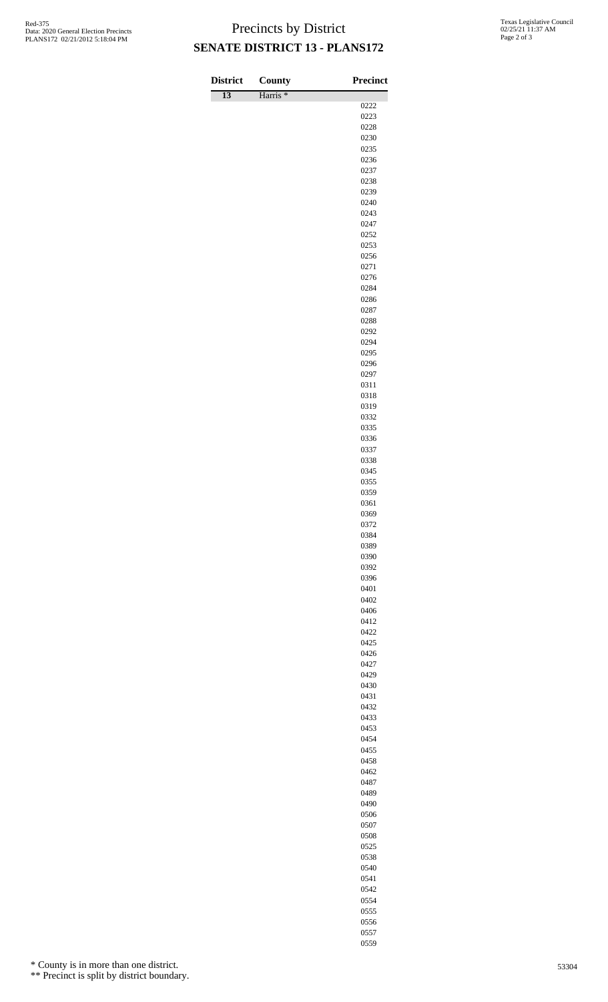## Precincts by District **SENATE DISTRICT 13 - PLANS172**

| <b>District</b> | County              | Precinct     |
|-----------------|---------------------|--------------|
| $\overline{13}$ | Harris <sup>*</sup> | 0222         |
|                 |                     | 0223         |
|                 |                     | 0228         |
|                 |                     | 0230         |
|                 |                     | 0235<br>0236 |
|                 |                     | 0237         |
|                 |                     | 0238         |
|                 |                     | 0239         |
|                 |                     | 0240         |
|                 |                     | 0243<br>0247 |
|                 |                     | 0252         |
|                 |                     | 0253         |
|                 |                     | 0256         |
|                 |                     | 0271<br>0276 |
|                 |                     | 0284         |
|                 |                     | 0286         |
|                 |                     | 0287         |
|                 |                     | 0288         |
|                 |                     | 0292<br>0294 |
|                 |                     | 0295         |
|                 |                     | 0296         |
|                 |                     | 0297         |
|                 |                     | 0311         |
|                 |                     | 0318<br>0319 |
|                 |                     | 0332         |
|                 |                     | 0335         |
|                 |                     | 0336         |
|                 |                     | 0337<br>0338 |
|                 |                     | 0345         |
|                 |                     | 0355         |
|                 |                     | 0359         |
|                 |                     | 0361         |
|                 |                     | 0369<br>0372 |
|                 |                     | 0384         |
|                 |                     | 0389         |
|                 |                     | 0390         |
|                 |                     | 0392<br>0396 |
|                 |                     | 0401         |
|                 |                     | 0402         |
|                 |                     | 0406         |
|                 |                     | 0412         |
|                 |                     | 0422<br>0425 |
|                 |                     | 0426         |
|                 |                     | 0427         |
|                 |                     | 0429         |
|                 |                     | 0430<br>0431 |
|                 |                     | 0432         |
|                 |                     | 0433         |
|                 |                     | 0453         |
|                 |                     | 0454         |
|                 |                     | 0455<br>0458 |
|                 |                     | 0462         |
|                 |                     | 0487         |
|                 |                     | 0489         |
|                 |                     | 0490<br>0506 |
|                 |                     | 0507         |
|                 |                     | 0508         |
|                 |                     | 0525         |
|                 |                     | 0538         |
|                 |                     | 0540         |
|                 |                     | 0541<br>0542 |
|                 |                     |              |

\* County is in more than one district.

\*\* Precinct is split by district boundary.